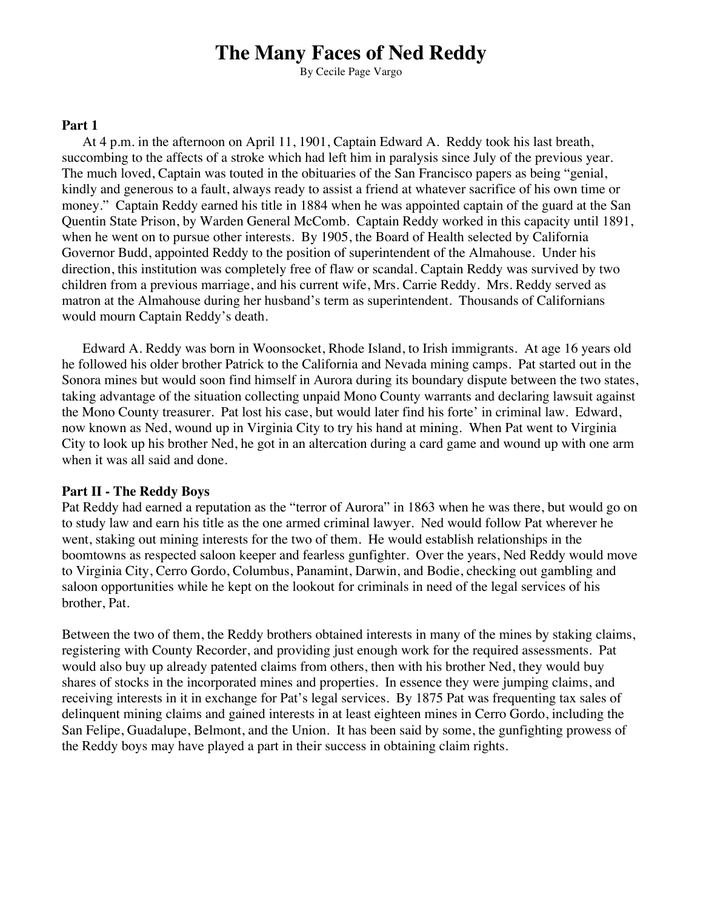# **The Many Faces of Ned Reddy**

By Cecile Page Vargo

### **Part 1**

At 4 p.m. in the afternoon on April 11, 1901, Captain Edward A. Reddy took his last breath, succombing to the affects of a stroke which had left him in paralysis since July of the previous year. The much loved, Captain was touted in the obituaries of the San Francisco papers as being "genial, kindly and generous to a fault, always ready to assist a friend at whatever sacrifice of his own time or money." Captain Reddy earned his title in 1884 when he was appointed captain of the guard at the San Quentin State Prison, by Warden General McComb. Captain Reddy worked in this capacity until 1891, when he went on to pursue other interests. By 1905, the Board of Health selected by California Governor Budd, appointed Reddy to the position of superintendent of the Almahouse. Under his direction, this institution was completely free of flaw or scandal. Captain Reddy was survived by two children from a previous marriage, and his current wife, Mrs. Carrie Reddy. Mrs. Reddy served as matron at the Almahouse during her husband's term as superintendent. Thousands of Californians would mourn Captain Reddy's death.

Edward A. Reddy was born in Woonsocket, Rhode Island, to Irish immigrants. At age 16 years old he followed his older brother Patrick to the California and Nevada mining camps. Pat started out in the Sonora mines but would soon find himself in Aurora during its boundary dispute between the two states, taking advantage of the situation collecting unpaid Mono County warrants and declaring lawsuit against the Mono County treasurer. Pat lost his case, but would later find his forte' in criminal law. Edward, now known as Ned, wound up in Virginia City to try his hand at mining. When Pat went to Virginia City to look up his brother Ned, he got in an altercation during a card game and wound up with one arm when it was all said and done.

#### **Part II - The Reddy Boys**

Pat Reddy had earned a reputation as the "terror of Aurora" in 1863 when he was there, but would go on to study law and earn his title as the one armed criminal lawyer. Ned would follow Pat wherever he went, staking out mining interests for the two of them. He would establish relationships in the boomtowns as respected saloon keeper and fearless gunfighter. Over the years, Ned Reddy would move to Virginia City, Cerro Gordo, Columbus, Panamint, Darwin, and Bodie, checking out gambling and saloon opportunities while he kept on the lookout for criminals in need of the legal services of his brother, Pat.

Between the two of them, the Reddy brothers obtained interests in many of the mines by staking claims, registering with County Recorder, and providing just enough work for the required assessments. Pat would also buy up already patented claims from others, then with his brother Ned, they would buy shares of stocks in the incorporated mines and properties. In essence they were jumping claims, and receiving interests in it in exchange for Pat's legal services. By 1875 Pat was frequenting tax sales of delinquent mining claims and gained interests in at least eighteen mines in Cerro Gordo, including the San Felipe, Guadalupe, Belmont, and the Union. It has been said by some, the gunfighting prowess of the Reddy boys may have played a part in their success in obtaining claim rights.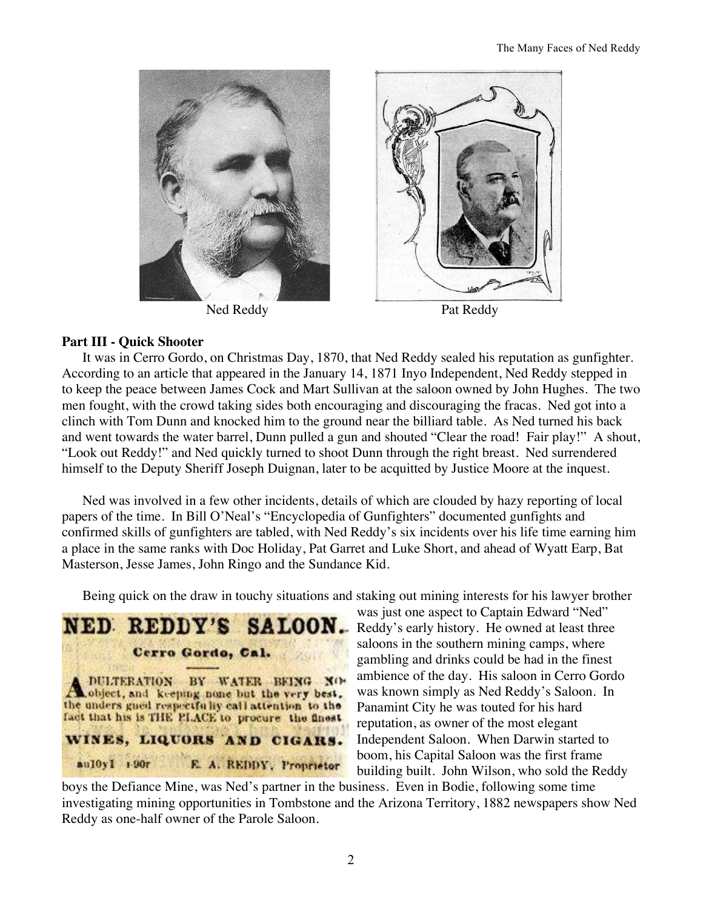

## **Part III - Quick Shooter**

It was in Cerro Gordo, on Christmas Day, 1870, that Ned Reddy sealed his reputation as gunfighter. According to an article that appeared in the January 14, 1871 Inyo Independent, Ned Reddy stepped in to keep the peace between James Cock and Mart Sullivan at the saloon owned by John Hughes. The two men fought, with the crowd taking sides both encouraging and discouraging the fracas. Ned got into a clinch with Tom Dunn and knocked him to the ground near the billiard table. As Ned turned his back and went towards the water barrel, Dunn pulled a gun and shouted "Clear the road! Fair play!" A shout, "Look out Reddy!" and Ned quickly turned to shoot Dunn through the right breast. Ned surrendered himself to the Deputy Sheriff Joseph Duignan, later to be acquitted by Justice Moore at the inquest.

Ned was involved in a few other incidents, details of which are clouded by hazy reporting of local papers of the time. In Bill O'Neal's "Encyclopedia of Gunfighters" documented gunfights and confirmed skills of gunfighters are tabled, with Ned Reddy's six incidents over his life time earning him a place in the same ranks with Doc Holiday, Pat Garret and Luke Short, and ahead of Wyatt Earp, Bat Masterson, Jesse James, John Ringo and the Sundance Kid.

Being quick on the draw in touchy situations and staking out mining interests for his lawyer brother



was just one aspect to Captain Edward "Ned" Reddy's early history. He owned at least three saloons in the southern mining camps, where gambling and drinks could be had in the finest ambience of the day. His saloon in Cerro Gordo was known simply as Ned Reddy's Saloon. In Panamint City he was touted for his hard reputation, as owner of the most elegant Independent Saloon. When Darwin started to boom, his Capital Saloon was the first frame building built. John Wilson, who sold the Reddy

boys the Defiance Mine, was Ned's partner in the business. Even in Bodie, following some time investigating mining opportunities in Tombstone and the Arizona Territory, 1882 newspapers show Ned Reddy as one-half owner of the Parole Saloon.